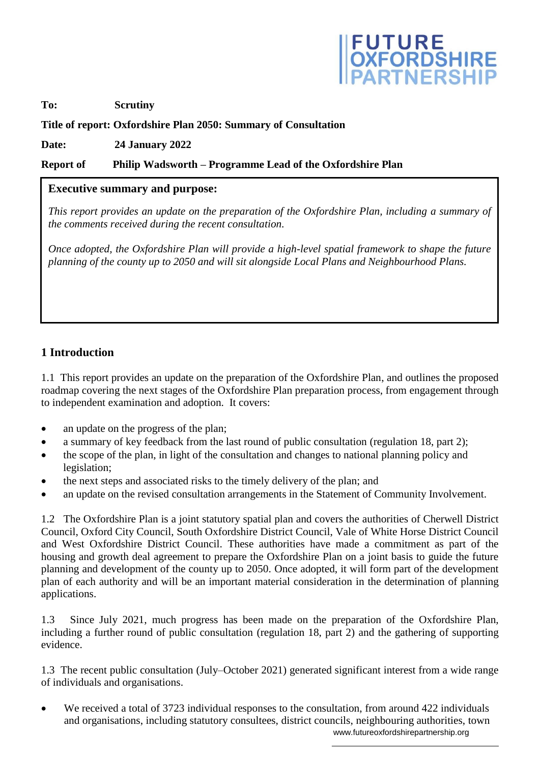

### **To: Scrutiny**

### **Title of report: Oxfordshire Plan 2050: Summary of Consultation**

**Date: 24 January 2022**

#### **Report of Philip Wadsworth – Programme Lead of the Oxfordshire Plan**

#### **Executive summary and purpose:**

*This report provides an update on the preparation of the Oxfordshire Plan, including a summary of the comments received during the recent consultation.*

*Once adopted, the Oxfordshire Plan will provide a high-level spatial framework to shape the future planning of the county up to 2050 and will sit alongside Local Plans and Neighbourhood Plans.*

### **1 Introduction**

1.1 This report provides an update on the preparation of the Oxfordshire Plan, and outlines the proposed roadmap covering the next stages of the Oxfordshire Plan preparation process, from engagement through to independent examination and adoption. It covers:

• an update on the progress of the plan;

- a summary of key feedback from the last round of public consultation (regulation 18, part 2);
- the scope of the plan, in light of the consultation and changes to national planning policy and legislation;
- the next steps and associated risks to the timely delivery of the plan; and
- an update on the revised consultation arrangements in the Statement of Community Involvement.

1.2 The Oxfordshire Plan is a joint statutory spatial plan and covers the authorities of Cherwell District Council, Oxford City Council, South Oxfordshire District Council, Vale of White Horse District Council and West Oxfordshire District Council. These authorities have made a commitment as part of the housing and growth deal agreement to prepare the Oxfordshire Plan on a joint basis to guide the future planning and development of the county up to 2050. Once adopted, it will form part of the development plan of each authority and will be an important material consideration in the determination of planning applications.

1.3 Since July 2021, much progress has been made on the preparation of the Oxfordshire Plan, including a further round of public consultation (regulation 18, part 2) and the gathering of supporting evidence.

1.3 The recent public consultation (July–October 2021) generated significant interest from a wide range of individuals and organisations.

 www.futureoxfordshirepartnership.org We received a total of 3723 individual responses to the consultation, from around 422 individuals and organisations, including statutory consultees, district councils, neighbouring authorities, town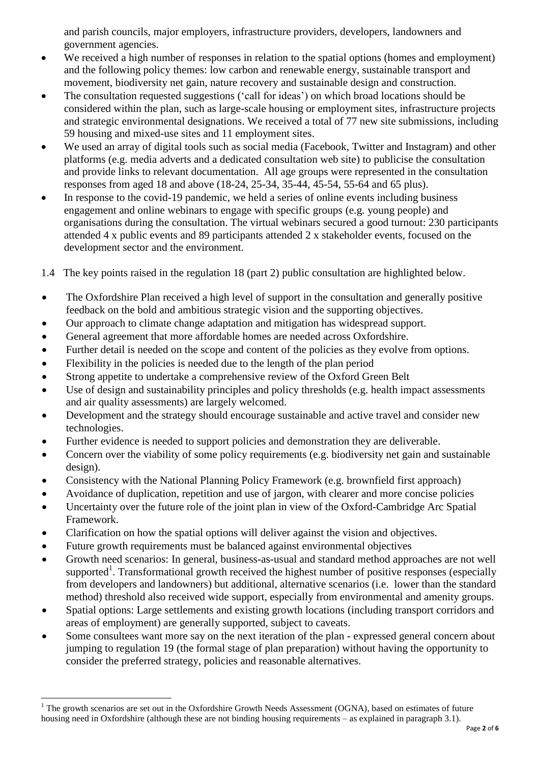and parish councils, major employers, infrastructure providers, developers, landowners and government agencies.

- We received a high number of responses in relation to the spatial options (homes and employment) and the following policy themes: low carbon and renewable energy, sustainable transport and movement, biodiversity net gain, nature recovery and sustainable design and construction.
- The consultation requested suggestions ('call for ideas') on which broad locations should be considered within the plan, such as large-scale housing or employment sites, infrastructure projects and strategic environmental designations. We received a total of 77 new site submissions, including 59 housing and mixed-use sites and 11 employment sites.
- We used an array of digital tools such as social media (Facebook, Twitter and Instagram) and other platforms (e.g. media adverts and a dedicated consultation web site) to publicise the consultation and provide links to relevant documentation. All age groups were represented in the consultation responses from aged 18 and above (18-24, 25-34, 35-44, 45-54, 55-64 and 65 plus).
- In response to the covid-19 pandemic, we held a series of online events including business engagement and online webinars to engage with specific groups (e.g. young people) and organisations during the consultation. The virtual webinars secured a good turnout: 230 participants attended 4 x public events and 89 participants attended 2 x stakeholder events, focused on the development sector and the environment.

1.4 The key points raised in the regulation 18 (part 2) public consultation are highlighted below.

- The Oxfordshire Plan received a high level of support in the consultation and generally positive feedback on the bold and ambitious strategic vision and the supporting objectives.
- Our approach to climate change adaptation and mitigation has widespread support.
- General agreement that more affordable homes are needed across Oxfordshire.
- Further detail is needed on the scope and content of the policies as they evolve from options.
- Flexibility in the policies is needed due to the length of the plan period
- Strong appetite to undertake a comprehensive review of the Oxford Green Belt
- Use of design and sustainability principles and policy thresholds (e.g. health impact assessments and air quality assessments) are largely welcomed.
- Development and the strategy should encourage sustainable and active travel and consider new technologies.
- Further evidence is needed to support policies and demonstration they are deliverable.
- Concern over the viability of some policy requirements (e.g. biodiversity net gain and sustainable design).
- Consistency with the National Planning Policy Framework (e.g. brownfield first approach)
- Avoidance of duplication, repetition and use of jargon, with clearer and more concise policies
- Uncertainty over the future role of the joint plan in view of the Oxford-Cambridge Arc Spatial Framework.
- Clarification on how the spatial options will deliver against the vision and objectives.
- Future growth requirements must be balanced against environmental objectives

1

- Growth need scenarios: In general, business-as-usual and standard method approaches are not well supported<sup>1</sup>. Transformational growth received the highest number of positive responses (especially from developers and landowners) but additional, alternative scenarios (i.e. lower than the standard method) threshold also received wide support, especially from environmental and amenity groups.
- Spatial options: Large settlements and existing growth locations (including transport corridors and areas of employment) are generally supported, subject to caveats.
- Some consultees want more say on the next iteration of the plan expressed general concern about jumping to regulation 19 (the formal stage of plan preparation) without having the opportunity to consider the preferred strategy, policies and reasonable alternatives.

 $1$  The growth scenarios are set out in the Oxfordshire Growth Needs Assessment (OGNA), based on estimates of future housing need in Oxfordshire (although these are not binding housing requirements – as explained in paragraph 3.1).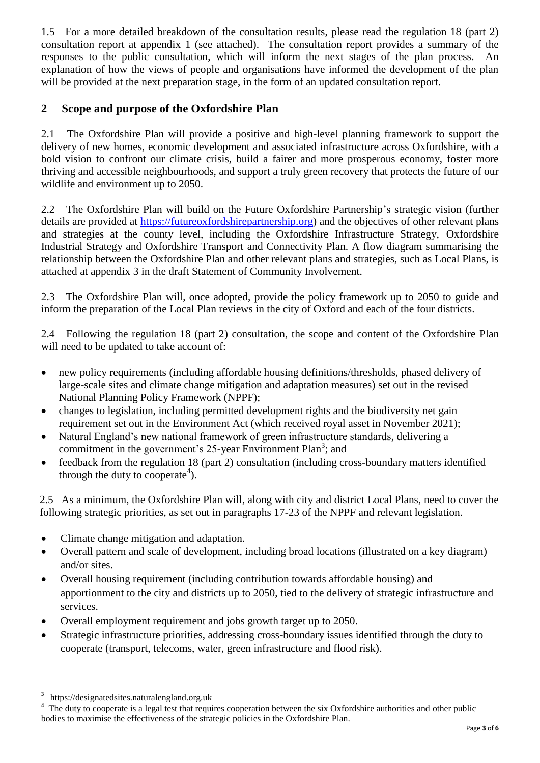1.5 For a more detailed breakdown of the consultation results, please read the regulation 18 (part 2) consultation report at appendix 1 (see attached). The consultation report provides a summary of the responses to the public consultation, which will inform the next stages of the plan process. An explanation of how the views of people and organisations have informed the development of the plan will be provided at the next preparation stage, in the form of an updated consultation report.

# **2 Scope and purpose of the Oxfordshire Plan**

2.1 The Oxfordshire Plan will provide a positive and high-level planning framework to support the delivery of new homes, economic development and associated infrastructure across Oxfordshire, with a bold vision to confront our climate crisis, build a fairer and more prosperous economy, foster more thriving and accessible neighbourhoods, and support a truly green recovery that protects the future of our wildlife and environment up to 2050.

2.2 The Oxfordshire Plan will build on the Future Oxfordshire Partnership's strategic vision (further details are provided at [https://futureoxfordshirepartnership.org\)](https://futureoxfordshirepartnership.org/) and the objectives of other relevant plans and strategies at the county level, including the Oxfordshire Infrastructure Strategy, Oxfordshire Industrial Strategy and Oxfordshire Transport and Connectivity Plan. A flow diagram summarising the relationship between the Oxfordshire Plan and other relevant plans and strategies, such as Local Plans, is attached at appendix 3 in the draft Statement of Community Involvement.

2.3 The Oxfordshire Plan will, once adopted, provide the policy framework up to 2050 to guide and inform the preparation of the Local Plan reviews in the city of Oxford and each of the four districts.

2.4 Following the regulation 18 (part 2) consultation, the scope and content of the Oxfordshire Plan will need to be updated to take account of:

- new policy requirements (including affordable housing definitions/thresholds, phased delivery of large-scale sites and climate change mitigation and adaptation measures) set out in the revised National Planning Policy Framework (NPPF);
- changes to legislation, including permitted development rights and the biodiversity net gain requirement set out in the Environment Act (which received royal asset in November 2021);
- Natural England's new national framework of green infrastructure standards, delivering a commitment in the government's 25-year Environment Plan<sup>3</sup>; and
- feedback from the regulation 18 (part 2) consultation (including cross-boundary matters identified through the duty to cooperate<sup>4</sup>).

2.5 As a minimum, the Oxfordshire Plan will, along with city and district Local Plans, need to cover the following strategic priorities, as set out in paragraphs 17-23 of the NPPF and relevant legislation.

- Climate change mitigation and adaptation.
- Overall pattern and scale of development, including broad locations (illustrated on a key diagram) and/or sites.
- Overall housing requirement (including contribution towards affordable housing) and apportionment to the city and districts up to 2050, tied to the delivery of strategic infrastructure and services.
- Overall employment requirement and jobs growth target up to 2050.
- Strategic infrastructure priorities, addressing cross-boundary issues identified through the duty to cooperate (transport, telecoms, water, green infrastructure and flood risk).

 $\overline{\phantom{a}}$ 

<sup>3</sup> https://designatedsites.naturalengland.org.uk

<sup>4</sup> The duty to cooperate is a legal test that requires cooperation between the six Oxfordshire authorities and other public bodies to maximise the effectiveness of the strategic policies in the Oxfordshire Plan.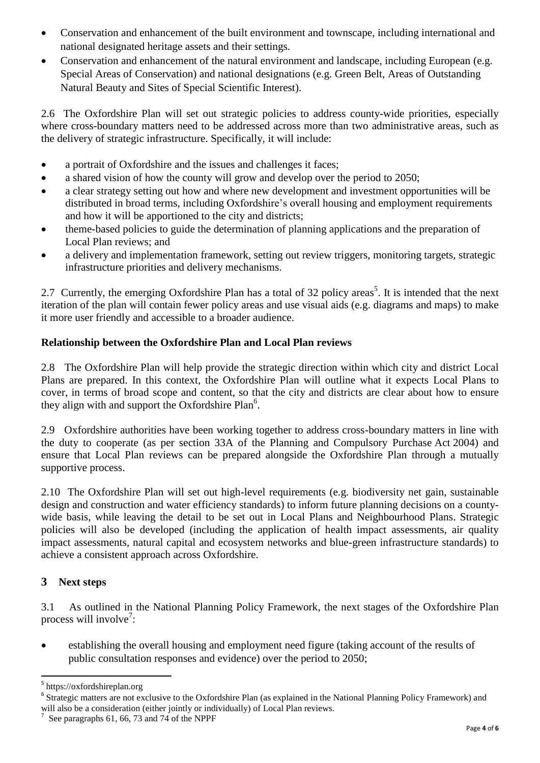- Conservation and enhancement of the built environment and townscape, including international and national designated heritage assets and their settings.
- Conservation and enhancement of the natural environment and landscape, including European (e.g. Special Areas of Conservation) and national designations (e.g. Green Belt, Areas of Outstanding Natural Beauty and Sites of Special Scientific Interest).

2.6 The Oxfordshire Plan will set out strategic policies to address county-wide priorities, especially where cross-boundary matters need to be addressed across more than two administrative areas, such as the delivery of strategic infrastructure. Specifically, it will include:

- a portrait of Oxfordshire and the issues and challenges it faces;
- a shared vision of how the county will grow and develop over the period to 2050;
- a clear strategy setting out how and where new development and investment opportunities will be distributed in broad terms, including Oxfordshire's overall housing and employment requirements and how it will be apportioned to the city and districts;
- theme-based policies to guide the determination of planning applications and the preparation of Local Plan reviews; and
- a delivery and implementation framework, setting out review triggers, monitoring targets, strategic infrastructure priorities and delivery mechanisms.

2.7 Currently, the emerging Oxfordshire Plan has a total of 32 policy areas<sup>5</sup>. It is intended that the next iteration of the plan will contain fewer policy areas and use visual aids (e.g. diagrams and maps) to make it more user friendly and accessible to a broader audience.

## **Relationship between the Oxfordshire Plan and Local Plan reviews**

2.8 The Oxfordshire Plan will help provide the strategic direction within which city and district Local Plans are prepared. In this context, the Oxfordshire Plan will outline what it expects Local Plans to cover, in terms of broad scope and content, so that the city and districts are clear about how to ensure they align with and support the Oxfordshire Plan<sup>6</sup>.

2.9 Oxfordshire authorities have been working together to address cross-boundary matters in line with the duty to cooperate (as per section 33A of the Planning and Compulsory Purchase Act 2004) and ensure that Local Plan reviews can be prepared alongside the Oxfordshire Plan through a mutually supportive process.

2.10 The Oxfordshire Plan will set out high-level requirements (e.g. biodiversity net gain, sustainable design and construction and water efficiency standards) to inform future planning decisions on a countywide basis, while leaving the detail to be set out in Local Plans and Neighbourhood Plans. Strategic policies will also be developed (including the application of health impact assessments, air quality impact assessments, natural capital and ecosystem networks and blue-green infrastructure standards) to achieve a consistent approach across Oxfordshire.

### **3 Next steps**

**.** 

3.1 As outlined in the National Planning Policy Framework, the next stages of the Oxfordshire Plan process will involve<sup>7</sup>:

 establishing the overall housing and employment need figure (taking account of the results of public consultation responses and evidence) over the period to 2050;

<sup>5</sup> https://oxfordshireplan.org

<sup>&</sup>lt;sup>6</sup> Strategic matters are not exclusive to the Oxfordshire Plan (as explained in the National Planning Policy Framework) and will also be a consideration (either jointly or individually) of Local Plan reviews.

 $^7$  See paragraphs 61, 66, 73 and 74 of the NPPF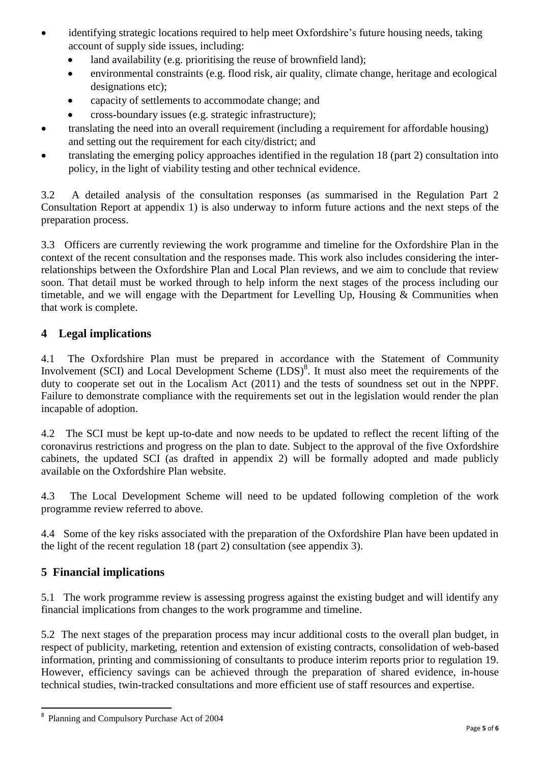- identifying strategic locations required to help meet Oxfordshire's future housing needs, taking account of supply side issues, including:
	- land availability (e.g. prioritising the reuse of brownfield land);
	- environmental constraints (e.g. flood risk, air quality, climate change, heritage and ecological designations etc);
	- capacity of settlements to accommodate change; and
	- cross-boundary issues (e.g. strategic infrastructure);
- translating the need into an overall requirement (including a requirement for affordable housing) and setting out the requirement for each city/district; and
- translating the emerging policy approaches identified in the regulation 18 (part 2) consultation into policy, in the light of viability testing and other technical evidence.

3.2 A detailed analysis of the consultation responses (as summarised in the Regulation Part 2 Consultation Report at appendix 1) is also underway to inform future actions and the next steps of the preparation process.

3.3 Officers are currently reviewing the work programme and timeline for the Oxfordshire Plan in the context of the recent consultation and the responses made. This work also includes considering the interrelationships between the Oxfordshire Plan and Local Plan reviews, and we aim to conclude that review soon. That detail must be worked through to help inform the next stages of the process including our timetable, and we will engage with the Department for Levelling Up, Housing  $&$  Communities when that work is complete.

## **4 Legal implications**

4.1 The Oxfordshire Plan must be prepared in accordance with the Statement of Community Involvement (SCI) and Local Development Scheme (LDS)<sup>8</sup>. It must also meet the requirements of the duty to cooperate set out in the Localism Act (2011) and the tests of soundness set out in the NPPF. Failure to demonstrate compliance with the requirements set out in the legislation would render the plan incapable of adoption.

4.2 The SCI must be kept up-to-date and now needs to be updated to reflect the recent lifting of the coronavirus restrictions and progress on the plan to date. Subject to the approval of the five Oxfordshire cabinets, the updated SCI (as drafted in appendix 2) will be formally adopted and made publicly available on the Oxfordshire Plan website.

4.3 The Local Development Scheme will need to be updated following completion of the work programme review referred to above.

4.4 Some of the key risks associated with the preparation of the Oxfordshire Plan have been updated in the light of the recent regulation 18 (part 2) consultation (see appendix 3).

### **5 Financial implications**

5.1 The work programme review is assessing progress against the existing budget and will identify any financial implications from changes to the work programme and timeline.

5.2 The next stages of the preparation process may incur additional costs to the overall plan budget, in respect of publicity, marketing, retention and extension of existing contracts, consolidation of web-based information, printing and commissioning of consultants to produce interim reports prior to regulation 19. However, efficiency savings can be achieved through the preparation of shared evidence, in-house technical studies, twin-tracked consultations and more efficient use of staff resources and expertise.

<sup>-&</sup>lt;br>8 Planning and Compulsory Purchase Act of 2004